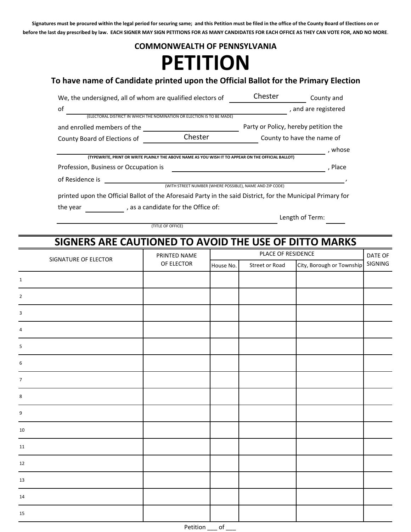**Signatures must be procured within the legal period for securing same; and this Petition must be filed in the office of the County Board of Elections on or before the last day prescribed by law. EACH SIGNER MAY SIGN PETITIONS FOR AS MANY CANDIDATES FOR EACH OFFICE AS THEY CAN VOTE FOR, AND NO MORE**.

## **PETITION COMMONWEALTH OF PENNSYLVANIA**

## **To have name of Candidate printed upon the Official Ballot for the Primary Election**

| We, the undersigned, all of whom are qualified electors of                                                  | Chester                                                  | County and                           |                      |
|-------------------------------------------------------------------------------------------------------------|----------------------------------------------------------|--------------------------------------|----------------------|
| of                                                                                                          |                                                          |                                      | , and are registered |
| (ELECTORAL DISTRICT IN WHICH THE NOMINATION OR ELECTION IS TO BE MADE)                                      |                                                          |                                      |                      |
| and enrolled members of the                                                                                 |                                                          | Party or Policy, hereby petition the |                      |
| County Board of Elections of                                                                                | Chester                                                  | County to have the name of           |                      |
|                                                                                                             |                                                          |                                      | . whose              |
| (TYPEWRITE, PRINT OR WRITE PLAINLY THE ABOVE NAME AS YOU WISH IT TO APPEAR ON THE OFFICIAL BALLOT)          |                                                          |                                      |                      |
| Profession, Business or Occupation is                                                                       |                                                          |                                      | . Place              |
| of Residence is                                                                                             |                                                          |                                      |                      |
|                                                                                                             | (WITH STREET NUMBER (WHERE POSSIBLE), NAME AND ZIP CODE) |                                      |                      |
| printed upon the Official Ballot of the Aforesaid Party in the said District, for the Municipal Primary for |                                                          |                                      |                      |
|                                                                                                             | $\blacksquare$                                           |                                      |                      |

the year  $\sqrt{\phantom{a}}$ , as a candidate for the Office of:

(TITLE OF OFFICE)

Length of Term:

## **SIGNERS ARE CAUTIONED TO AVOID THE USE OF DITTO MARKS**

| SIGNATURE OF ELECTOR | PRINTED NAME | PLACE OF RESIDENCE |                |                           | DATE OF |
|----------------------|--------------|--------------------|----------------|---------------------------|---------|
|                      | OF ELECTOR   | House No.          | Street or Road | City, Borough or Township | SIGNING |
| $\mathbf{1}$         |              |                    |                |                           |         |
| $\overline{2}$       |              |                    |                |                           |         |
| $\mathbf{3}$         |              |                    |                |                           |         |
| 4                    |              |                    |                |                           |         |
| 5                    |              |                    |                |                           |         |
| 6                    |              |                    |                |                           |         |
| $\overline{7}$       |              |                    |                |                           |         |
| $\bf 8$              |              |                    |                |                           |         |
| 9                    |              |                    |                |                           |         |
| 10                   |              |                    |                |                           |         |
| 11                   |              |                    |                |                           |         |
| 12                   |              |                    |                |                           |         |
| 13                   |              |                    |                |                           |         |
| 14                   |              |                    |                |                           |         |
| 15                   |              |                    |                |                           |         |
|                      | Petition     | $-$ of $-$         |                |                           |         |